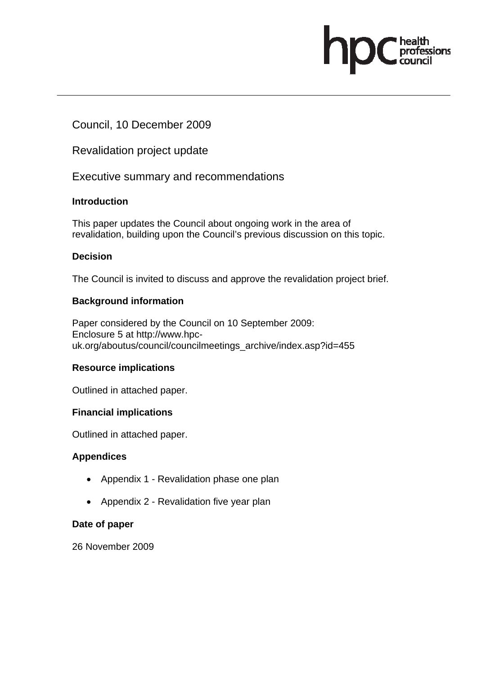# Council, 10 December 2009

Revalidation project update

Executive summary and recommendations

# **Introduction**

This paper updates the Council about ongoing work in the area of revalidation, building upon the Council's previous discussion on this topic. ofessions

# **Decision**

The Council is invited to discuss and approve the revalidation project brief.

# **Background information**

Paper considered by the Council on 10 September 2009: Enclosure 5 at http://www.hpcuk.org/aboutus/council/councilmeetings\_archive/index.asp?id=455

# **Resource implications**

Outlined in attached paper.

# **Financial implications**

Outlined in attached paper.

# **Appendices**

- Appendix 1 Revalidation phase one plan
- Appendix 2 Revalidation five year plan

# **Date of paper**

26 November 2009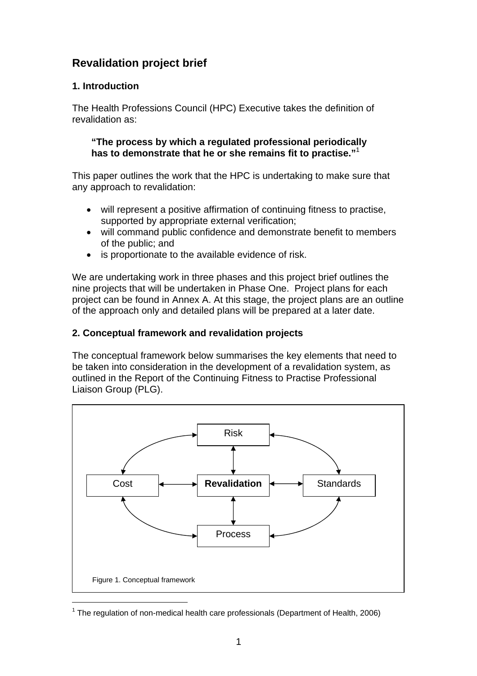# **Revalidation project brief**

# **1. Introduction**

The Health Professions Council (HPC) Executive takes the definition of revalidation as:

**"The process by which a regulated professional periodically has to demonstrate that he or she remains fit to practise."**<sup>1</sup>

This paper outlines the work that the HPC is undertaking to make sure that any approach to revalidation:

- will represent a positive affirmation of continuing fitness to practise, supported by appropriate external verification;
- will command public confidence and demonstrate benefit to members of the public; and
- is proportionate to the available evidence of risk.

We are undertaking work in three phases and this project brief outlines the nine projects that will be undertaken in Phase One. Project plans for each project can be found in Annex A. At this stage, the project plans are an outline of the approach only and detailed plans will be prepared at a later date.

# **2. Conceptual framework and revalidation projects**

The conceptual framework below summarises the key elements that need to be taken into consideration in the development of a revalidation system, as outlined in the Report of the Continuing Fitness to Practise Professional Liaison Group (PLG).



<sup>&</sup>lt;sup>1</sup> The regulation of non-medical health care professionals (Department of Health, 2006)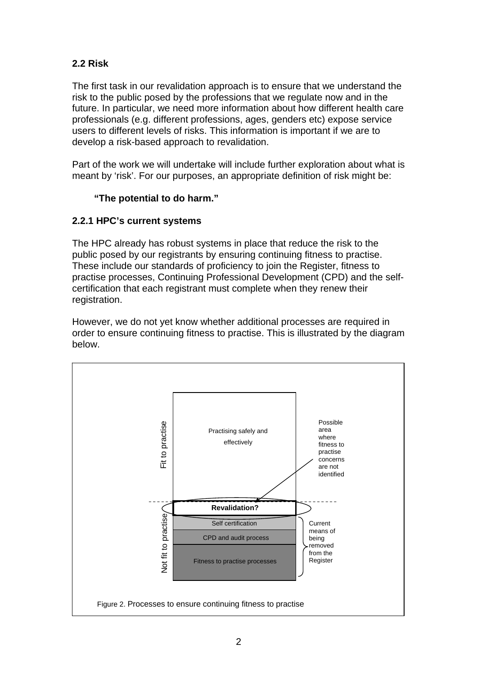# **2.2 Risk**

The first task in our revalidation approach is to ensure that we understand the risk to the public posed by the professions that we regulate now and in the future. In particular, we need more information about how different health care professionals (e.g. different professions, ages, genders etc) expose service users to different levels of risks. This information is important if we are to develop a risk-based approach to revalidation.

Part of the work we will undertake will include further exploration about what is meant by 'risk'. For our purposes, an appropriate definition of risk might be:

# **"The potential to do harm."**

# **2.2.1 HPC's current systems**

The HPC already has robust systems in place that reduce the risk to the public posed by our registrants by ensuring continuing fitness to practise. These include our standards of proficiency to join the Register, fitness to practise processes, Continuing Professional Development (CPD) and the selfcertification that each registrant must complete when they renew their registration.

However, we do not yet know whether additional processes are required in order to ensure continuing fitness to practise. This is illustrated by the diagram below.

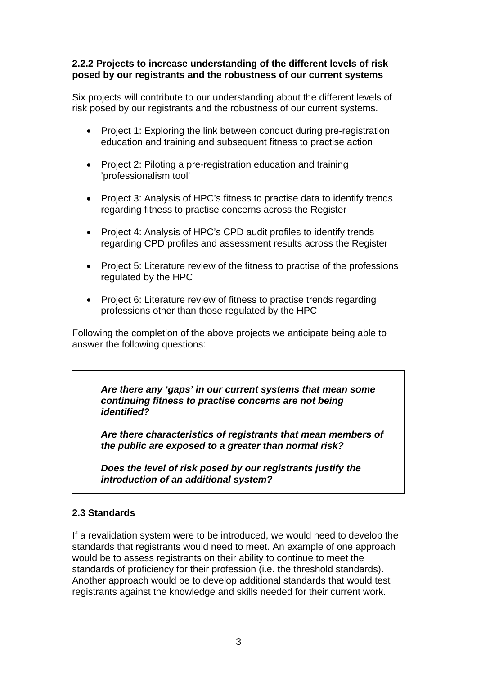# **2.2.2 Projects to increase understanding of the different levels of risk posed by our registrants and the robustness of our current systems**

Six projects will contribute to our understanding about the different levels of risk posed by our registrants and the robustness of our current systems.

- Project 1: Exploring the link between conduct during pre-registration education and training and subsequent fitness to practise action
- Project 2: Piloting a pre-registration education and training 'professionalism tool'
- Project 3: Analysis of HPC's fitness to practise data to identify trends regarding fitness to practise concerns across the Register
- Project 4: Analysis of HPC's CPD audit profiles to identify trends regarding CPD profiles and assessment results across the Register
- Project 5: Literature review of the fitness to practise of the professions regulated by the HPC
- Project 6: Literature review of fitness to practise trends regarding professions other than those regulated by the HPC

Following the completion of the above projects we anticipate being able to answer the following questions:

*Are there any 'gaps' in our current systems that mean some continuing fitness to practise concerns are not being identified?* 

*Are there characteristics of registrants that mean members of the public are exposed to a greater than normal risk?* 

*Does the level of risk posed by our registrants justify the introduction of an additional system?* 

# **2.3 Standards**

If a revalidation system were to be introduced, we would need to develop the standards that registrants would need to meet. An example of one approach would be to assess registrants on their ability to continue to meet the standards of proficiency for their profession (i.e. the threshold standards). Another approach would be to develop additional standards that would test registrants against the knowledge and skills needed for their current work.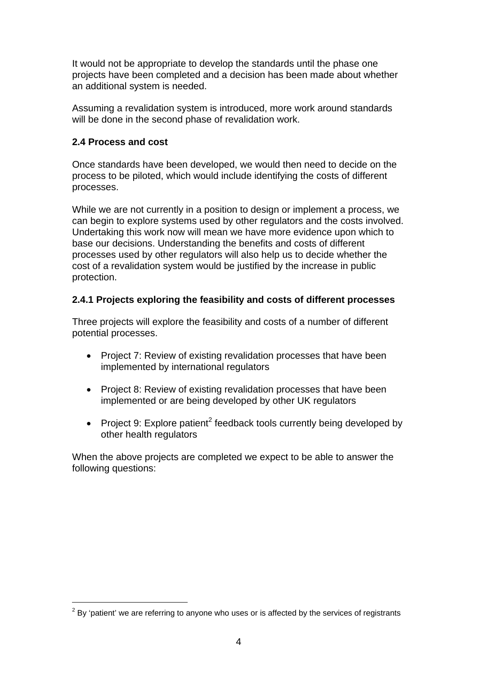It would not be appropriate to develop the standards until the phase one projects have been completed and a decision has been made about whether an additional system is needed.

Assuming a revalidation system is introduced, more work around standards will be done in the second phase of revalidation work.

#### **2.4 Process and cost**

 $\overline{a}$ 

Once standards have been developed, we would then need to decide on the process to be piloted, which would include identifying the costs of different processes.

While we are not currently in a position to design or implement a process, we can begin to explore systems used by other regulators and the costs involved. Undertaking this work now will mean we have more evidence upon which to base our decisions. Understanding the benefits and costs of different processes used by other regulators will also help us to decide whether the cost of a revalidation system would be justified by the increase in public protection.

# **2.4.1 Projects exploring the feasibility and costs of different processes**

Three projects will explore the feasibility and costs of a number of different potential processes.

- Project 7: Review of existing revalidation processes that have been implemented by international regulators
- Project 8: Review of existing revalidation processes that have been implemented or are being developed by other UK regulators
- Project 9: Explore patient<sup>2</sup> feedback tools currently being developed by other health regulators

When the above projects are completed we expect to be able to answer the following questions:

 $2$  By 'patient' we are referring to anyone who uses or is affected by the services of registrants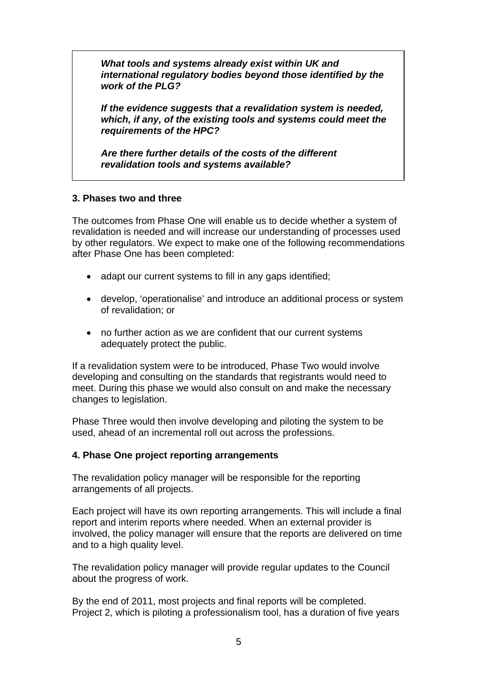*What tools and systems already exist within UK and international regulatory bodies beyond those identified by the work of the PLG?* 

*If the evidence suggests that a revalidation system is needed, which, if any, of the existing tools and systems could meet the requirements of the HPC?* 

*Are there further details of the costs of the different revalidation tools and systems available?* 

#### **3. Phases two and three**

The outcomes from Phase One will enable us to decide whether a system of revalidation is needed and will increase our understanding of processes used by other regulators. We expect to make one of the following recommendations after Phase One has been completed:

- adapt our current systems to fill in any gaps identified;
- develop, 'operationalise' and introduce an additional process or system of revalidation; or
- no further action as we are confident that our current systems adequately protect the public.

If a revalidation system were to be introduced, Phase Two would involve developing and consulting on the standards that registrants would need to meet. During this phase we would also consult on and make the necessary changes to legislation.

Phase Three would then involve developing and piloting the system to be used, ahead of an incremental roll out across the professions.

# **4. Phase One project reporting arrangements**

The revalidation policy manager will be responsible for the reporting arrangements of all projects.

Each project will have its own reporting arrangements. This will include a final report and interim reports where needed. When an external provider is involved, the policy manager will ensure that the reports are delivered on time and to a high quality level.

The revalidation policy manager will provide regular updates to the Council about the progress of work.

By the end of 2011, most projects and final reports will be completed. Project 2, which is piloting a professionalism tool, has a duration of five years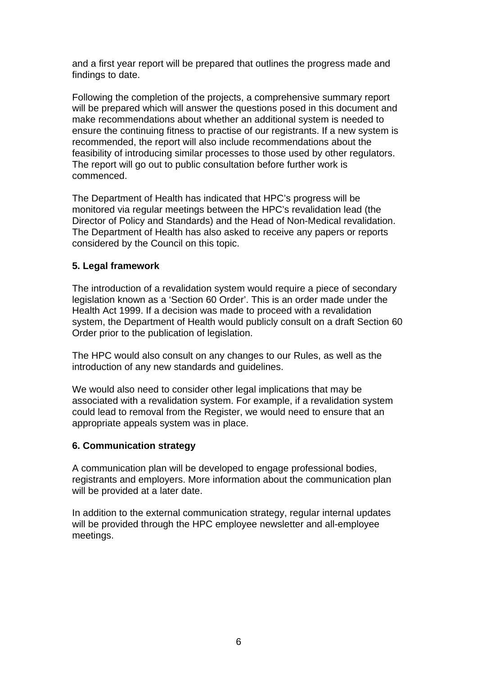and a first year report will be prepared that outlines the progress made and findings to date.

Following the completion of the projects, a comprehensive summary report will be prepared which will answer the questions posed in this document and make recommendations about whether an additional system is needed to ensure the continuing fitness to practise of our registrants. If a new system is recommended, the report will also include recommendations about the feasibility of introducing similar processes to those used by other regulators. The report will go out to public consultation before further work is commenced.

The Department of Health has indicated that HPC's progress will be monitored via regular meetings between the HPC's revalidation lead (the Director of Policy and Standards) and the Head of Non-Medical revalidation. The Department of Health has also asked to receive any papers or reports considered by the Council on this topic.

# **5. Legal framework**

The introduction of a revalidation system would require a piece of secondary legislation known as a 'Section 60 Order'. This is an order made under the Health Act 1999. If a decision was made to proceed with a revalidation system, the Department of Health would publicly consult on a draft Section 60 Order prior to the publication of legislation.

The HPC would also consult on any changes to our Rules, as well as the introduction of any new standards and guidelines.

We would also need to consider other legal implications that may be associated with a revalidation system. For example, if a revalidation system could lead to removal from the Register, we would need to ensure that an appropriate appeals system was in place.

#### **6. Communication strategy**

A communication plan will be developed to engage professional bodies, registrants and employers. More information about the communication plan will be provided at a later date.

In addition to the external communication strategy, regular internal updates will be provided through the HPC employee newsletter and all-employee meetings.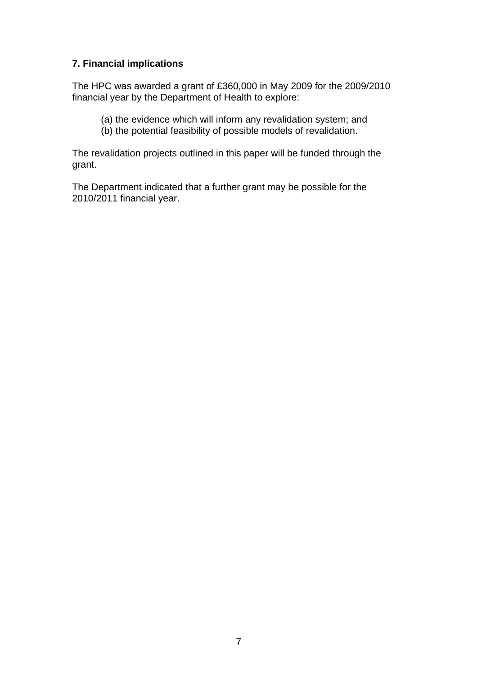# **7. Financial implications**

The HPC was awarded a grant of £360,000 in May 2009 for the 2009/2010 financial year by the Department of Health to explore:

- (a) the evidence which will inform any revalidation system; and
- (b) the potential feasibility of possible models of revalidation.

The revalidation projects outlined in this paper will be funded through the grant.

The Department indicated that a further grant may be possible for the 2010/2011 financial year.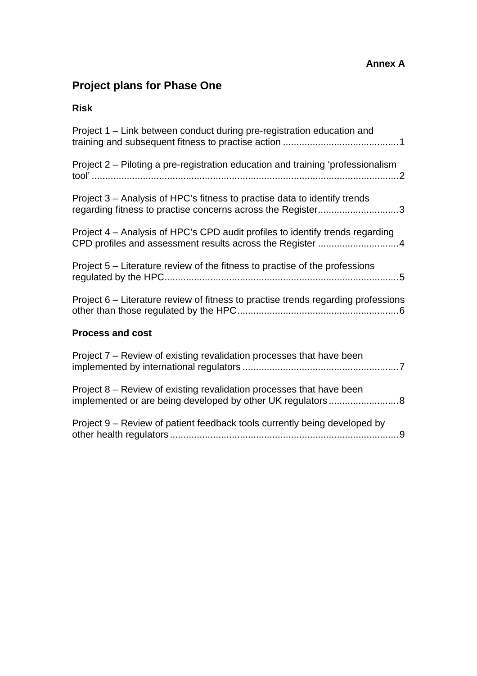# **Annex A**

# **Project plans for Phase One**

# **Risk**

| Project 1 – Link between conduct during pre-registration education and                                                                   |
|------------------------------------------------------------------------------------------------------------------------------------------|
| Project 2 – Piloting a pre-registration education and training 'professionalism                                                          |
| Project 3 – Analysis of HPC's fitness to practise data to identify trends<br>regarding fitness to practise concerns across the Register3 |
| Project 4 – Analysis of HPC's CPD audit profiles to identify trends regarding                                                            |
| Project 5 – Literature review of the fitness to practise of the professions                                                              |
| Project 6 - Literature review of fitness to practise trends regarding professions                                                        |
| <b>Process and cost</b>                                                                                                                  |
| Project 7 - Review of existing revalidation processes that have been                                                                     |
| Project 8 – Review of existing revalidation processes that have been<br>implemented or are being developed by other UK regulators8       |
| Project 9 – Review of patient feedback tools currently being developed by                                                                |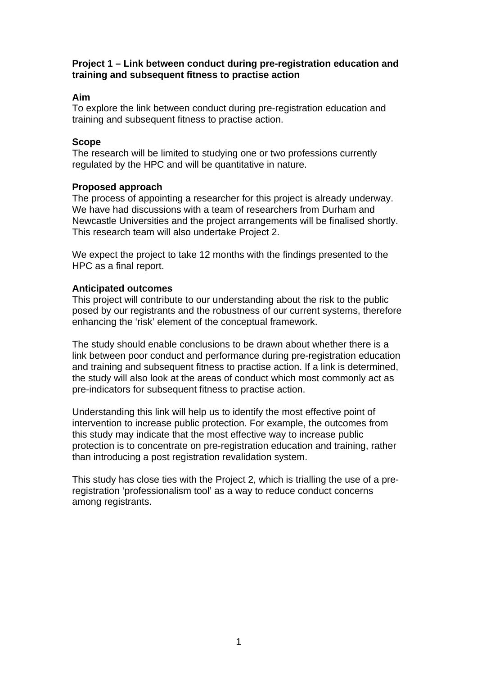#### **Project 1 – Link between conduct during pre-registration education and training and subsequent fitness to practise action**

# **Aim**

To explore the link between conduct during pre-registration education and training and subsequent fitness to practise action.

#### **Scope**

The research will be limited to studying one or two professions currently regulated by the HPC and will be quantitative in nature.

# **Proposed approach**

The process of appointing a researcher for this project is already underway. We have had discussions with a team of researchers from Durham and Newcastle Universities and the project arrangements will be finalised shortly. This research team will also undertake Project 2.

We expect the project to take 12 months with the findings presented to the HPC as a final report.

# **Anticipated outcomes**

This project will contribute to our understanding about the risk to the public posed by our registrants and the robustness of our current systems, therefore enhancing the 'risk' element of the conceptual framework.

The study should enable conclusions to be drawn about whether there is a link between poor conduct and performance during pre-registration education and training and subsequent fitness to practise action. If a link is determined, the study will also look at the areas of conduct which most commonly act as pre-indicators for subsequent fitness to practise action.

Understanding this link will help us to identify the most effective point of intervention to increase public protection. For example, the outcomes from this study may indicate that the most effective way to increase public protection is to concentrate on pre-registration education and training, rather than introducing a post registration revalidation system.

This study has close ties with the Project 2, which is trialling the use of a preregistration 'professionalism tool' as a way to reduce conduct concerns among registrants.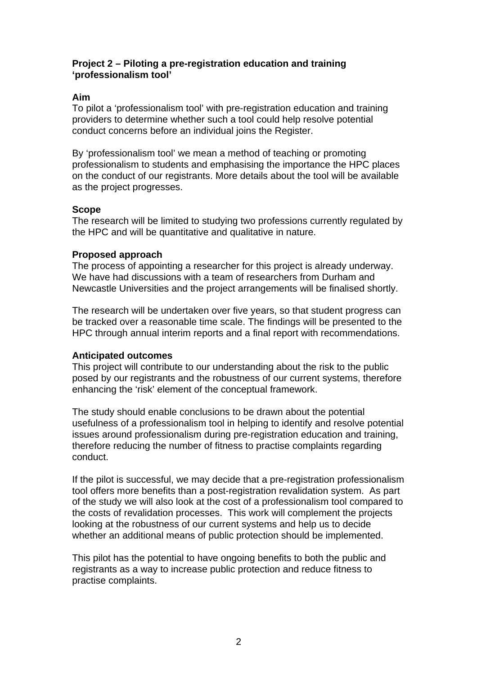# **Project 2 – Piloting a pre-registration education and training 'professionalism tool'**

# **Aim**

To pilot a 'professionalism tool' with pre-registration education and training providers to determine whether such a tool could help resolve potential conduct concerns before an individual joins the Register.

By 'professionalism tool' we mean a method of teaching or promoting professionalism to students and emphasising the importance the HPC places on the conduct of our registrants. More details about the tool will be available as the project progresses.

# **Scope**

The research will be limited to studying two professions currently regulated by the HPC and will be quantitative and qualitative in nature.

#### **Proposed approach**

The process of appointing a researcher for this project is already underway. We have had discussions with a team of researchers from Durham and Newcastle Universities and the project arrangements will be finalised shortly.

The research will be undertaken over five years, so that student progress can be tracked over a reasonable time scale. The findings will be presented to the HPC through annual interim reports and a final report with recommendations.

#### **Anticipated outcomes**

This project will contribute to our understanding about the risk to the public posed by our registrants and the robustness of our current systems, therefore enhancing the 'risk' element of the conceptual framework.

The study should enable conclusions to be drawn about the potential usefulness of a professionalism tool in helping to identify and resolve potential issues around professionalism during pre-registration education and training, therefore reducing the number of fitness to practise complaints regarding conduct.

If the pilot is successful, we may decide that a pre-registration professionalism tool offers more benefits than a post-registration revalidation system. As part of the study we will also look at the cost of a professionalism tool compared to the costs of revalidation processes. This work will complement the projects looking at the robustness of our current systems and help us to decide whether an additional means of public protection should be implemented.

This pilot has the potential to have ongoing benefits to both the public and registrants as a way to increase public protection and reduce fitness to practise complaints.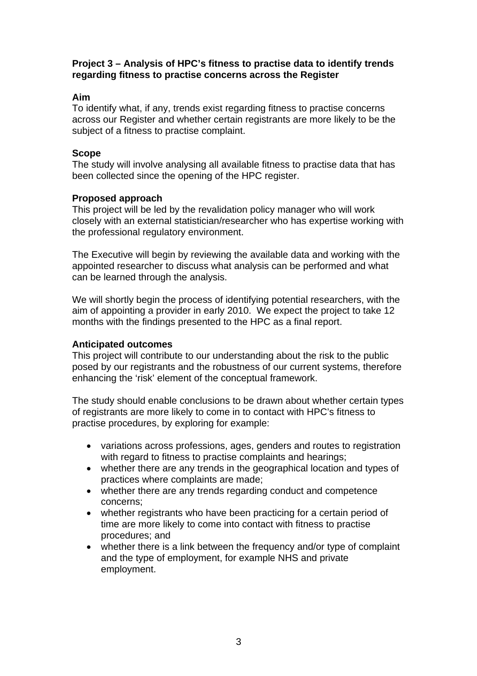#### **Project 3 – Analysis of HPC's fitness to practise data to identify trends regarding fitness to practise concerns across the Register**

# **Aim**

To identify what, if any, trends exist regarding fitness to practise concerns across our Register and whether certain registrants are more likely to be the subject of a fitness to practise complaint.

# **Scope**

The study will involve analysing all available fitness to practise data that has been collected since the opening of the HPC register.

#### **Proposed approach**

This project will be led by the revalidation policy manager who will work closely with an external statistician/researcher who has expertise working with the professional regulatory environment.

The Executive will begin by reviewing the available data and working with the appointed researcher to discuss what analysis can be performed and what can be learned through the analysis.

We will shortly begin the process of identifying potential researchers, with the aim of appointing a provider in early 2010. We expect the project to take 12 months with the findings presented to the HPC as a final report.

#### **Anticipated outcomes**

This project will contribute to our understanding about the risk to the public posed by our registrants and the robustness of our current systems, therefore enhancing the 'risk' element of the conceptual framework.

The study should enable conclusions to be drawn about whether certain types of registrants are more likely to come in to contact with HPC's fitness to practise procedures, by exploring for example:

- variations across professions, ages, genders and routes to registration with regard to fitness to practise complaints and hearings;
- whether there are any trends in the geographical location and types of practices where complaints are made;
- whether there are any trends regarding conduct and competence concerns;
- whether registrants who have been practicing for a certain period of time are more likely to come into contact with fitness to practise procedures; and
- whether there is a link between the frequency and/or type of complaint and the type of employment, for example NHS and private employment.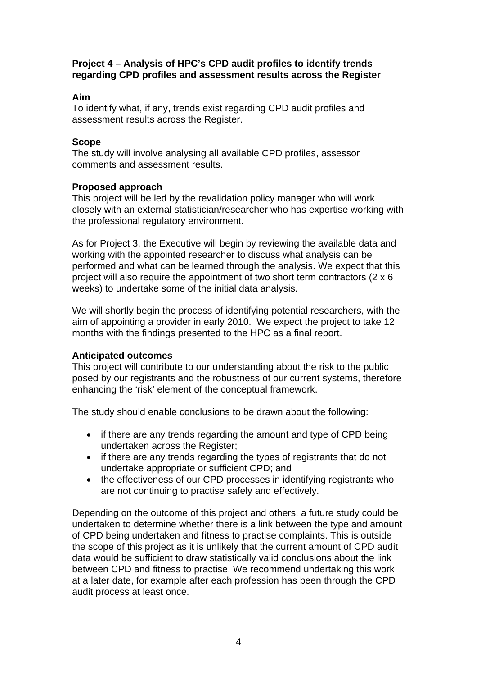# **Project 4 – Analysis of HPC's CPD audit profiles to identify trends regarding CPD profiles and assessment results across the Register**

# **Aim**

To identify what, if any, trends exist regarding CPD audit profiles and assessment results across the Register.

#### **Scope**

The study will involve analysing all available CPD profiles, assessor comments and assessment results.

#### **Proposed approach**

This project will be led by the revalidation policy manager who will work closely with an external statistician/researcher who has expertise working with the professional regulatory environment.

As for Project 3, the Executive will begin by reviewing the available data and working with the appointed researcher to discuss what analysis can be performed and what can be learned through the analysis. We expect that this project will also require the appointment of two short term contractors (2 x 6 weeks) to undertake some of the initial data analysis.

We will shortly begin the process of identifying potential researchers, with the aim of appointing a provider in early 2010. We expect the project to take 12 months with the findings presented to the HPC as a final report.

#### **Anticipated outcomes**

This project will contribute to our understanding about the risk to the public posed by our registrants and the robustness of our current systems, therefore enhancing the 'risk' element of the conceptual framework.

The study should enable conclusions to be drawn about the following:

- if there are any trends regarding the amount and type of CPD being undertaken across the Register;
- if there are any trends regarding the types of registrants that do not undertake appropriate or sufficient CPD; and
- the effectiveness of our CPD processes in identifying registrants who are not continuing to practise safely and effectively.

Depending on the outcome of this project and others, a future study could be undertaken to determine whether there is a link between the type and amount of CPD being undertaken and fitness to practise complaints. This is outside the scope of this project as it is unlikely that the current amount of CPD audit data would be sufficient to draw statistically valid conclusions about the link between CPD and fitness to practise. We recommend undertaking this work at a later date, for example after each profession has been through the CPD audit process at least once.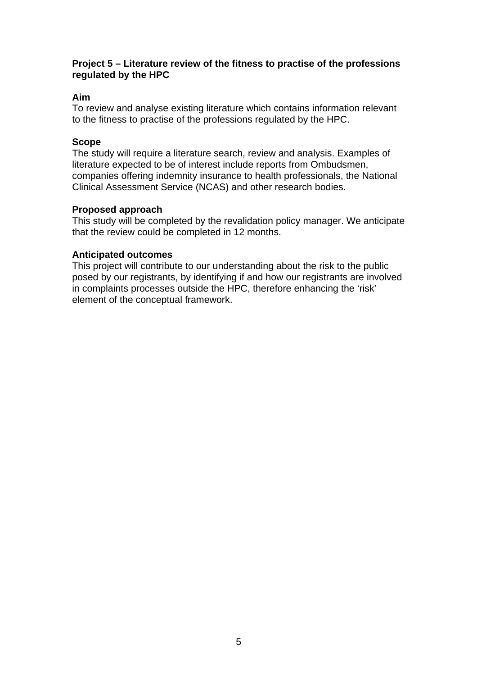#### **Project 5 – Literature review of the fitness to practise of the professions regulated by the HPC**

# **Aim**

To review and analyse existing literature which contains information relevant to the fitness to practise of the professions regulated by the HPC.

#### **Scope**

The study will require a literature search, review and analysis. Examples of literature expected to be of interest include reports from Ombudsmen, companies offering indemnity insurance to health professionals, the National Clinical Assessment Service (NCAS) and other research bodies.

#### **Proposed approach**

This study will be completed by the revalidation policy manager. We anticipate that the review could be completed in 12 months.

#### **Anticipated outcomes**

This project will contribute to our understanding about the risk to the public posed by our registrants, by identifying if and how our registrants are involved in complaints processes outside the HPC, therefore enhancing the 'risk' element of the conceptual framework.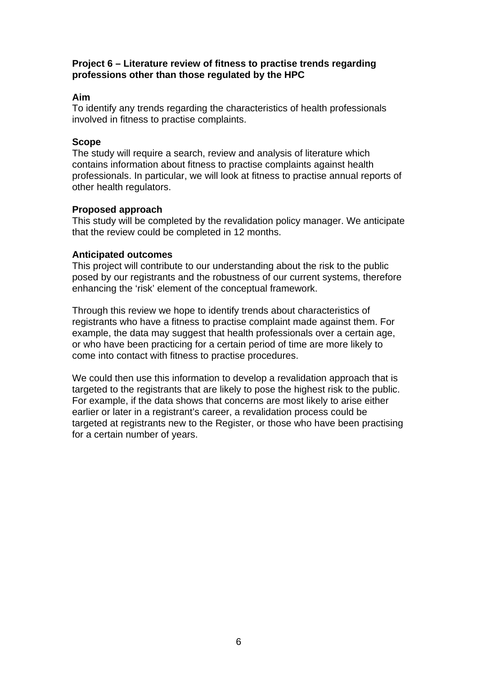#### **Project 6 – Literature review of fitness to practise trends regarding professions other than those regulated by the HPC**

#### **Aim**

To identify any trends regarding the characteristics of health professionals involved in fitness to practise complaints.

#### **Scope**

The study will require a search, review and analysis of literature which contains information about fitness to practise complaints against health professionals. In particular, we will look at fitness to practise annual reports of other health regulators.

#### **Proposed approach**

This study will be completed by the revalidation policy manager. We anticipate that the review could be completed in 12 months.

#### **Anticipated outcomes**

This project will contribute to our understanding about the risk to the public posed by our registrants and the robustness of our current systems, therefore enhancing the 'risk' element of the conceptual framework.

Through this review we hope to identify trends about characteristics of registrants who have a fitness to practise complaint made against them. For example, the data may suggest that health professionals over a certain age, or who have been practicing for a certain period of time are more likely to come into contact with fitness to practise procedures.

We could then use this information to develop a revalidation approach that is targeted to the registrants that are likely to pose the highest risk to the public. For example, if the data shows that concerns are most likely to arise either earlier or later in a registrant's career, a revalidation process could be targeted at registrants new to the Register, or those who have been practising for a certain number of years.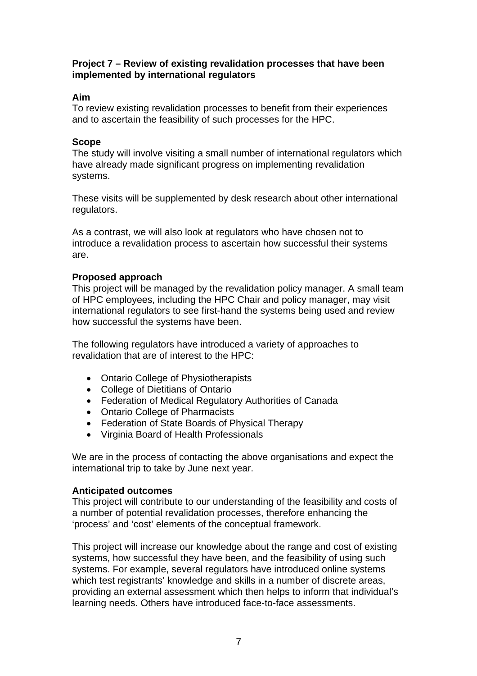#### **Project 7 – Review of existing revalidation processes that have been implemented by international regulators**

# **Aim**

To review existing revalidation processes to benefit from their experiences and to ascertain the feasibility of such processes for the HPC.

#### **Scope**

The study will involve visiting a small number of international regulators which have already made significant progress on implementing revalidation systems.

These visits will be supplemented by desk research about other international regulators.

As a contrast, we will also look at regulators who have chosen not to introduce a revalidation process to ascertain how successful their systems are.

# **Proposed approach**

This project will be managed by the revalidation policy manager. A small team of HPC employees, including the HPC Chair and policy manager, may visit international regulators to see first-hand the systems being used and review how successful the systems have been.

The following regulators have introduced a variety of approaches to revalidation that are of interest to the HPC:

- Ontario College of Physiotherapists
- College of Dietitians of Ontario
- Federation of Medical Regulatory Authorities of Canada
- Ontario College of Pharmacists
- Federation of State Boards of Physical Therapy
- Virginia Board of Health Professionals

We are in the process of contacting the above organisations and expect the international trip to take by June next year.

#### **Anticipated outcomes**

This project will contribute to our understanding of the feasibility and costs of a number of potential revalidation processes, therefore enhancing the 'process' and 'cost' elements of the conceptual framework.

This project will increase our knowledge about the range and cost of existing systems, how successful they have been, and the feasibility of using such systems. For example, several regulators have introduced online systems which test registrants' knowledge and skills in a number of discrete areas, providing an external assessment which then helps to inform that individual's learning needs. Others have introduced face-to-face assessments.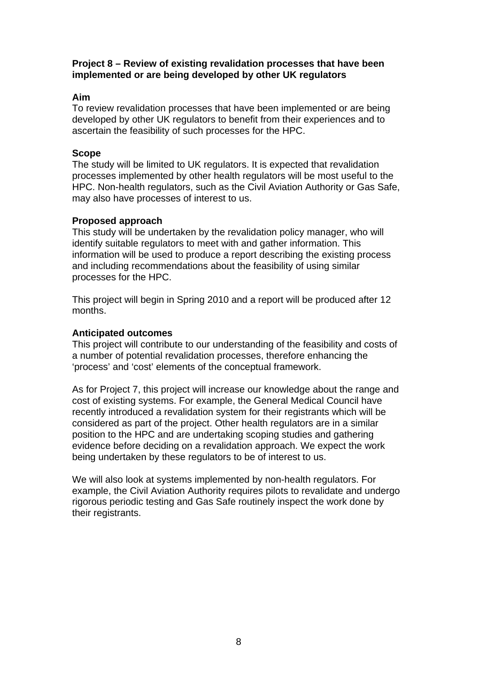#### **Project 8 – Review of existing revalidation processes that have been implemented or are being developed by other UK regulators**

# **Aim**

To review revalidation processes that have been implemented or are being developed by other UK regulators to benefit from their experiences and to ascertain the feasibility of such processes for the HPC.

# **Scope**

The study will be limited to UK regulators. It is expected that revalidation processes implemented by other health regulators will be most useful to the HPC. Non-health regulators, such as the Civil Aviation Authority or Gas Safe, may also have processes of interest to us.

# **Proposed approach**

This study will be undertaken by the revalidation policy manager, who will identify suitable regulators to meet with and gather information. This information will be used to produce a report describing the existing process and including recommendations about the feasibility of using similar processes for the HPC.

This project will begin in Spring 2010 and a report will be produced after 12 months.

# **Anticipated outcomes**

This project will contribute to our understanding of the feasibility and costs of a number of potential revalidation processes, therefore enhancing the 'process' and 'cost' elements of the conceptual framework.

As for Project 7, this project will increase our knowledge about the range and cost of existing systems. For example, the General Medical Council have recently introduced a revalidation system for their registrants which will be considered as part of the project. Other health regulators are in a similar position to the HPC and are undertaking scoping studies and gathering evidence before deciding on a revalidation approach. We expect the work being undertaken by these regulators to be of interest to us.

We will also look at systems implemented by non-health regulators. For example, the Civil Aviation Authority requires pilots to revalidate and undergo rigorous periodic testing and Gas Safe routinely inspect the work done by their registrants.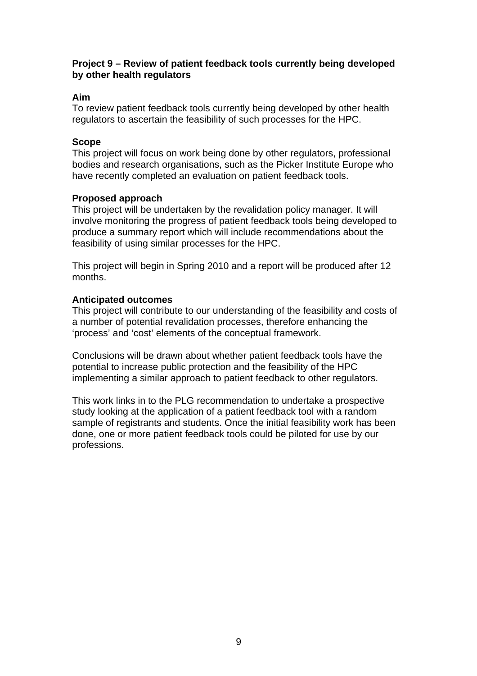#### **Project 9 – Review of patient feedback tools currently being developed by other health regulators**

# **Aim**

To review patient feedback tools currently being developed by other health regulators to ascertain the feasibility of such processes for the HPC.

#### **Scope**

This project will focus on work being done by other regulators, professional bodies and research organisations, such as the Picker Institute Europe who have recently completed an evaluation on patient feedback tools.

#### **Proposed approach**

This project will be undertaken by the revalidation policy manager. It will involve monitoring the progress of patient feedback tools being developed to produce a summary report which will include recommendations about the feasibility of using similar processes for the HPC.

This project will begin in Spring 2010 and a report will be produced after 12 months.

#### **Anticipated outcomes**

This project will contribute to our understanding of the feasibility and costs of a number of potential revalidation processes, therefore enhancing the 'process' and 'cost' elements of the conceptual framework.

Conclusions will be drawn about whether patient feedback tools have the potential to increase public protection and the feasibility of the HPC implementing a similar approach to patient feedback to other regulators.

This work links in to the PLG recommendation to undertake a prospective study looking at the application of a patient feedback tool with a random sample of registrants and students. Once the initial feasibility work has been done, one or more patient feedback tools could be piloted for use by our professions.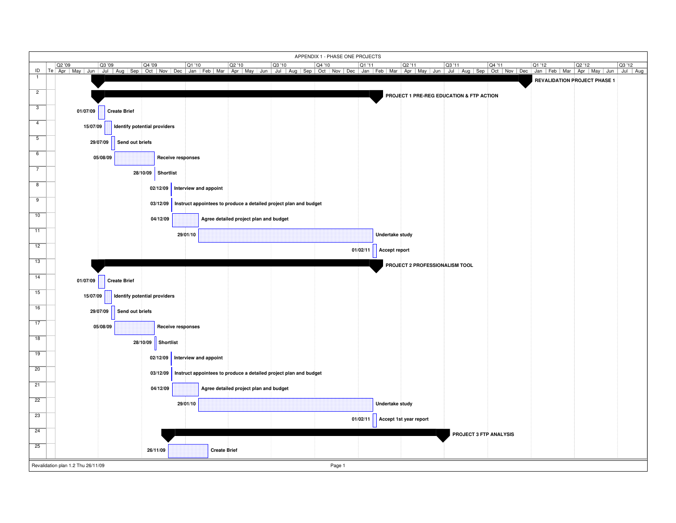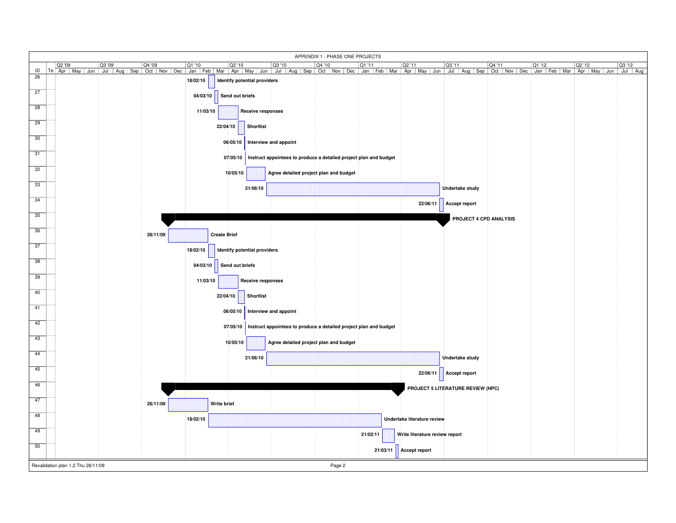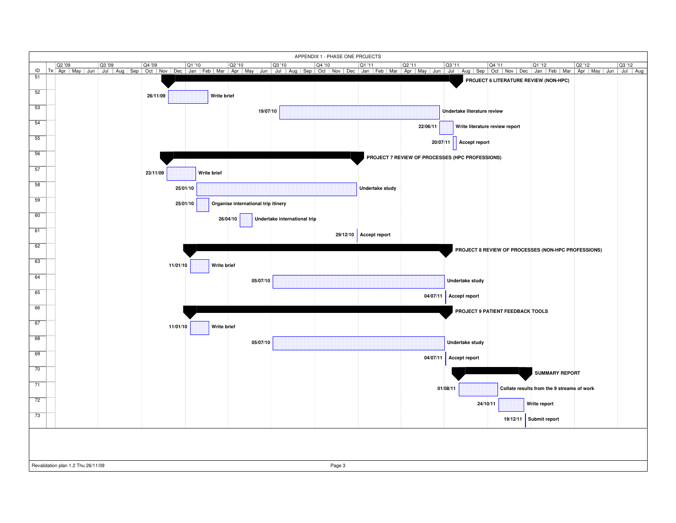